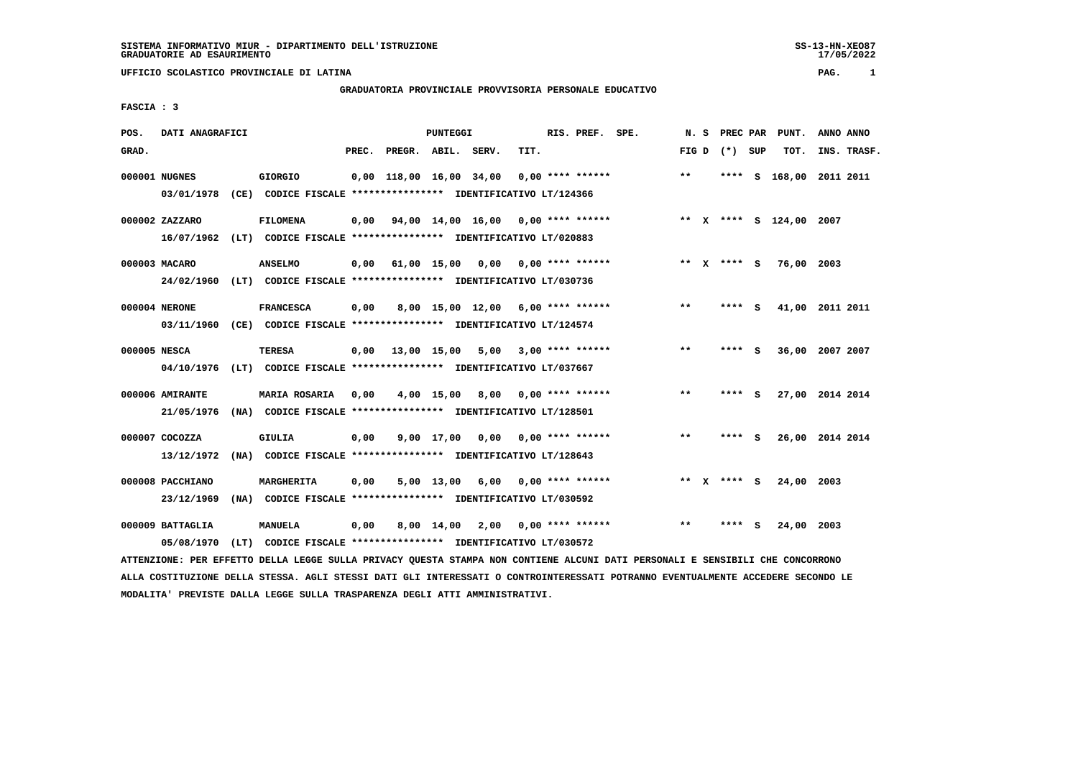**UFFICIO SCOLASTICO PROVINCIALE DI LATINA PAG. 1**

## **GRADUATORIA PROVINCIALE PROVVISORIA PERSONALE EDUCATIVO**

 **FASCIA : 3**

| POS.         | DATI ANAGRAFICI                |  |                                                                          |      |                          | PUNTEGGI     |                                                         |      | RIS. PREF.<br>SPE. |  |  | N. S         |  | PREC PAR    |   | PUNT.                   | ANNO ANNO |             |
|--------------|--------------------------------|--|--------------------------------------------------------------------------|------|--------------------------|--------------|---------------------------------------------------------|------|--------------------|--|--|--------------|--|-------------|---|-------------------------|-----------|-------------|
| GRAD.        |                                |  |                                                                          |      | PREC. PREGR. ABIL. SERV. |              |                                                         | TIT. |                    |  |  | FIG D        |  | (*) SUP     |   | TOT.                    |           | INS. TRASF. |
|              | 000001 NUGNES                  |  | <b>GIORGIO</b>                                                           |      |                          |              | $0,00$ 118,00 16,00 34,00 0,00 **** ******              |      |                    |  |  | $\star\star$ |  | ****        |   | S 168,00 2011 2011      |           |             |
|              | 03/01/1978                     |  | (CE) CODICE FISCALE **************** IDENTIFICATIVO LT/124366            |      |                          |              |                                                         |      |                    |  |  |              |  |             |   |                         |           |             |
|              | 000002 ZAZZARO                 |  | <b>FILOMENA</b>                                                          |      |                          |              | $0,00$ $94,00$ $14,00$ $16,00$ $0,00$ $***$ **** ****** |      |                    |  |  |              |  |             |   | ** X **** S 124,00 2007 |           |             |
|              |                                |  | 16/07/1962 (LT) CODICE FISCALE *************** IDENTIFICATIVO LT/020883  |      |                          |              |                                                         |      |                    |  |  |              |  |             |   |                         |           |             |
|              | 000003 MACARO                  |  | <b>ANSELMO</b>                                                           |      |                          |              | $0,00$ 61,00 15,00 0,00 0,00 **** ******                |      |                    |  |  |              |  | ** x **** s |   | 76,00 2003              |           |             |
|              |                                |  | 24/02/1960 (LT) CODICE FISCALE *************** IDENTIFICATIVO LT/030736  |      |                          |              |                                                         |      |                    |  |  |              |  |             |   |                         |           |             |
|              | 000004 NERONE                  |  | <b>FRANCESCA</b>                                                         | 0,00 |                          |              | 8,00 15,00 12,00 6,00 **** ******                       |      |                    |  |  | $* *$        |  | **** S      |   | 41,00 2011 2011         |           |             |
|              |                                |  | 03/11/1960 (CE) CODICE FISCALE *************** IDENTIFICATIVO LT/124574  |      |                          |              |                                                         |      |                    |  |  |              |  |             |   |                         |           |             |
| 000005 NESCA |                                |  | <b>TERESA</b>                                                            |      |                          |              | $0,00$ 13,00 15,00 5,00 3,00 **** ******                |      |                    |  |  | $* *$        |  | **** S      |   | 36,00 2007 2007         |           |             |
|              | 04/10/1976                     |  | (LT) CODICE FISCALE **************** IDENTIFICATIVO LT/037667            |      |                          |              |                                                         |      |                    |  |  |              |  |             |   |                         |           |             |
|              | 000006 AMIRANTE                |  | MARIA ROSARIA                                                            | 0,00 |                          |              | $4,00$ 15,00 8,00 0,00 **** ******                      |      |                    |  |  | $\star\star$ |  | **** S      |   | 27,00 2014 2014         |           |             |
|              | 21/05/1976                     |  | (NA) CODICE FISCALE **************** IDENTIFICATIVO LT/128501            |      |                          |              |                                                         |      |                    |  |  |              |  |             |   |                         |           |             |
|              | 000007 COCOZZA                 |  | <b>GIULIA</b>                                                            | 0,00 |                          |              | $9,00$ 17,00 0,00 0,00 **** ******                      |      |                    |  |  | $* *$        |  | **** S      |   | 26,00 2014 2014         |           |             |
|              | 13/12/1972                     |  | (NA) CODICE FISCALE **************** IDENTIFICATIVO LT/128643            |      |                          |              |                                                         |      |                    |  |  |              |  |             |   |                         |           |             |
|              | 000008 PACCHIANO               |  | <b>MARGHERITA</b>                                                        | 0,00 |                          | $5,00$ 13,00 | 6,00 0,00 **** ******                                   |      |                    |  |  |              |  | ** X **** S |   | 24,00                   | 2003      |             |
|              | 23/12/1969                     |  | (NA) CODICE FISCALE **************** IDENTIFICATIVO LT/030592            |      |                          |              |                                                         |      |                    |  |  |              |  |             |   |                         |           |             |
|              |                                |  |                                                                          |      |                          |              |                                                         |      |                    |  |  |              |  |             |   |                         |           |             |
|              |                                |  |                                                                          |      |                          |              |                                                         |      |                    |  |  |              |  |             |   |                         |           |             |
|              | 000009 BATTAGLIA<br>05/08/1970 |  | MANUELA<br>(LT) CODICE FISCALE **************** IDENTIFICATIVO LT/030572 | 0,00 |                          |              | $8,00$ 14,00 2,00 0,00 **** ******                      |      |                    |  |  | **           |  |             | S | 24,00 2003              |           |             |

 **ATTENZIONE: PER EFFETTO DELLA LEGGE SULLA PRIVACY QUESTA STAMPA NON CONTIENE ALCUNI DATI PERSONALI E SENSIBILI CHE CONCORRONO ALLA COSTITUZIONE DELLA STESSA. AGLI STESSI DATI GLI INTERESSATI O CONTROINTERESSATI POTRANNO EVENTUALMENTE ACCEDERE SECONDO LE MODALITA' PREVISTE DALLA LEGGE SULLA TRASPARENZA DEGLI ATTI AMMINISTRATIVI.**

SS-13-HN-XEO87<br>17/05/2022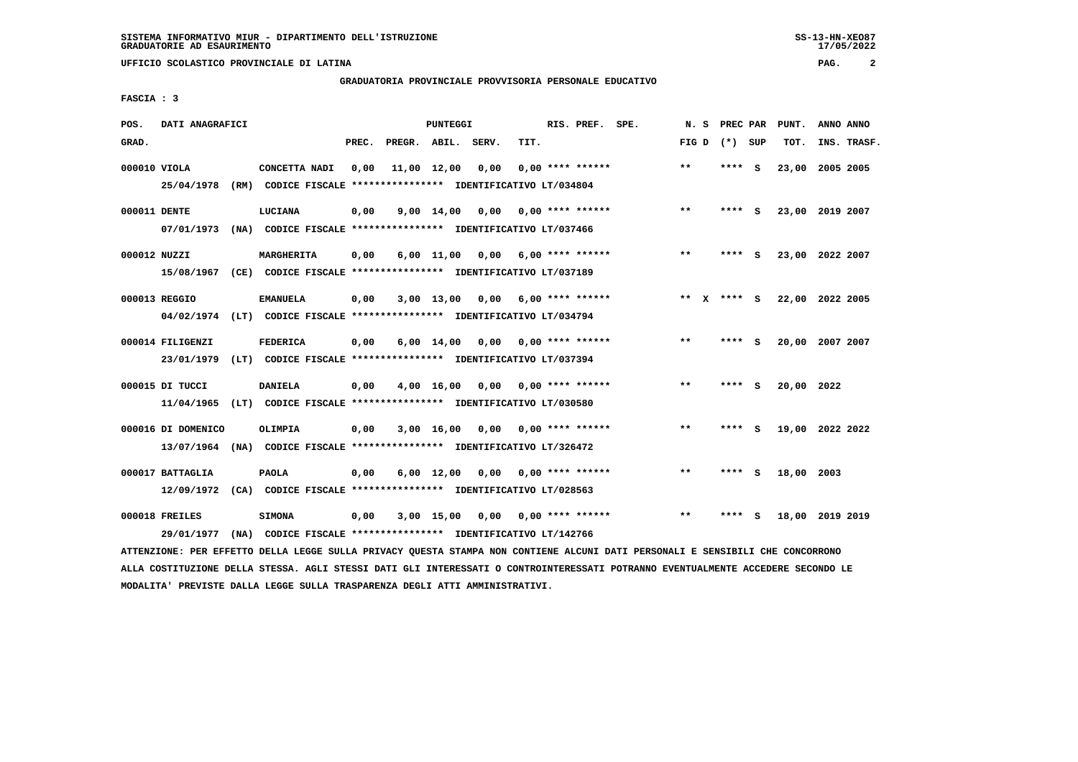**UFFICIO SCOLASTICO PROVINCIALE DI LATINA PAG. 2**

## **GRADUATORIA PROVINCIALE PROVVISORIA PERSONALE EDUCATIVO**

 $17/05/2022$ 

 **FASCIA : 3**

| POS.         | DATI ANAGRAFICI    |  | PUNTEGGI                                                                |       |                    |              |      |      | RIS. PREF. SPE. |                         |  | N.S   | PREC PAR    | PUNT. | ANNO ANNO       |           |             |
|--------------|--------------------|--|-------------------------------------------------------------------------|-------|--------------------|--------------|------|------|-----------------|-------------------------|--|-------|-------------|-------|-----------------|-----------|-------------|
| GRAD.        |                    |  |                                                                         | PREC. | PREGR. ABIL. SERV. |              |      | TIT. |                 |                         |  | FIG D | (*) SUP     |       | TOT.            |           | INS. TRASF. |
| 000010 VIOLA |                    |  | CONCETTA NADI                                                           | 0,00  |                    | 11,00 12,00  | 0,00 |      |                 | $0.00$ **** ******      |  | $* *$ | **** S      |       | 23,00 2005 2005 |           |             |
|              | 25/04/1978         |  | (RM) CODICE FISCALE **************** IDENTIFICATIVO LT/034804           |       |                    |              |      |      |                 |                         |  |       |             |       |                 |           |             |
| 000011 DENTE |                    |  | LUCIANA                                                                 | 0,00  |                    | 9,00 14,00   | 0,00 |      |                 | 0,00 **** ******        |  | $***$ | ****        | - 5   | 23,00 2019 2007 |           |             |
|              | 07/01/1973         |  | (NA) CODICE FISCALE **************** IDENTIFICATIVO LT/037466           |       |                    |              |      |      |                 |                         |  |       |             |       |                 |           |             |
| 000012 NUZZI |                    |  | MARGHERITA                                                              | 0,00  |                    | $6,00$ 11,00 |      |      |                 | $0,00$ 6,00 **** ****** |  | $* *$ | ****        | - S   | 23,00 2022 2007 |           |             |
|              | 15/08/1967         |  | (CE) CODICE FISCALE **************** IDENTIFICATIVO LT/037189           |       |                    |              |      |      |                 |                         |  |       |             |       |                 |           |             |
|              | 000013 REGGIO      |  | <b>EMANUELA</b>                                                         | 0.00  |                    | $3,00$ 13,00 | 0,00 |      |                 | 6,00 **** ******        |  |       | ** x **** s |       | 22,00 2022 2005 |           |             |
|              |                    |  | 04/02/1974 (LT) CODICE FISCALE *************** IDENTIFICATIVO LT/034794 |       |                    |              |      |      |                 |                         |  |       |             |       |                 |           |             |
|              | 000014 FILIGENZI   |  | <b>FEDERICA</b>                                                         | 0,00  |                    | 6,00 14,00   | 0,00 |      |                 | $0.00$ **** ******      |  | $* *$ | ****        | - S   | 20,00           | 2007 2007 |             |
|              | 23/01/1979         |  | (LT) CODICE FISCALE **************** IDENTIFICATIVO LT/037394           |       |                    |              |      |      |                 |                         |  |       |             |       |                 |           |             |
|              | 000015 DI TUCCI    |  | <b>DANIELA</b>                                                          | 0,00  |                    | 4,00 16,00   | 0.00 |      |                 | 0,00 **** ******        |  | $* *$ | **** S      |       | 20,00 2022      |           |             |
|              | 11/04/1965         |  | (LT) CODICE FISCALE **************** IDENTIFICATIVO LT/030580           |       |                    |              |      |      |                 |                         |  |       |             |       |                 |           |             |
|              | 000016 DI DOMENICO |  | <b>OLIMPIA</b>                                                          | 0,00  |                    | $3,00$ 16,00 | 0,00 |      |                 | 0,00 **** ******        |  | $* *$ | ****        | - S   | 19,00 2022 2022 |           |             |
|              | 13/07/1964         |  | (NA) CODICE FISCALE **************** IDENTIFICATIVO LT/326472           |       |                    |              |      |      |                 |                         |  |       |             |       |                 |           |             |
|              | 000017 BATTAGLIA   |  | <b>PAOLA</b>                                                            | 0,00  |                    | $6,00$ 12,00 | 0,00 |      |                 | $0.00$ **** ******      |  | $***$ | ****        | - 5   | 18,00           | 2003      |             |
|              | 12/09/1972         |  | (CA) CODICE FISCALE **************** IDENTIFICATIVO LT/028563           |       |                    |              |      |      |                 |                         |  |       |             |       |                 |           |             |
|              |                    |  |                                                                         |       |                    |              |      |      |                 |                         |  |       |             |       |                 |           |             |
|              | 000018 FREILES     |  | <b>SIMONA</b>                                                           | 0,00  |                    | 3,00 15,00   | 0,00 |      |                 | $0.00$ **** ******      |  | $* *$ | ****        | s     | 18,00           | 2019 2019 |             |
|              | 29/01/1977         |  | (NA) CODICE FISCALE **************** IDENTIFICATIVO LT/142766           |       |                    |              |      |      |                 |                         |  |       |             |       |                 |           |             |

 **ATTENZIONE: PER EFFETTO DELLA LEGGE SULLA PRIVACY QUESTA STAMPA NON CONTIENE ALCUNI DATI PERSONALI E SENSIBILI CHE CONCORRONO ALLA COSTITUZIONE DELLA STESSA. AGLI STESSI DATI GLI INTERESSATI O CONTROINTERESSATI POTRANNO EVENTUALMENTE ACCEDERE SECONDO LE MODALITA' PREVISTE DALLA LEGGE SULLA TRASPARENZA DEGLI ATTI AMMINISTRATIVI.**